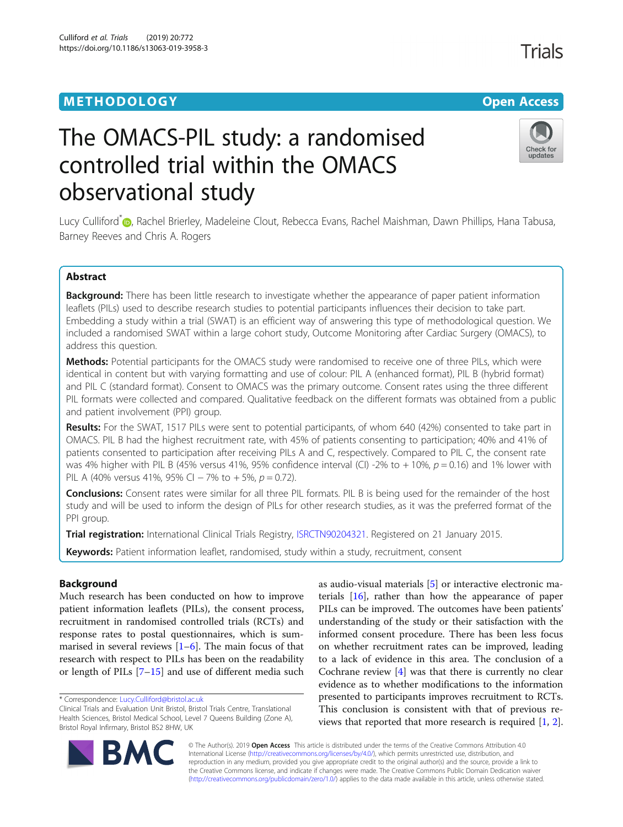**Trials** 

# The OMACS-PIL study: a randomised controlled trial within the OMACS observational study



Lucy Culliford<sup>\*</sup> [,](http://orcid.org/0000-0002-9255-6617) Rachel Brierley, Madeleine Clout, Rebecca Evans, Rachel Maishman, Dawn Phillips, Hana Tabusa, Barney Reeves and Chris A. Rogers

# Abstract

Background: There has been little research to investigate whether the appearance of paper patient information leaflets (PILs) used to describe research studies to potential participants influences their decision to take part. Embedding a study within a trial (SWAT) is an efficient way of answering this type of methodological question. We included a randomised SWAT within a large cohort study, Outcome Monitoring after Cardiac Surgery (OMACS), to address this question.

Methods: Potential participants for the OMACS study were randomised to receive one of three PILs, which were identical in content but with varying formatting and use of colour: PIL A (enhanced format), PIL B (hybrid format) and PIL C (standard format). Consent to OMACS was the primary outcome. Consent rates using the three different PIL formats were collected and compared. Qualitative feedback on the different formats was obtained from a public and patient involvement (PPI) group.

Results: For the SWAT, 1517 PILs were sent to potential participants, of whom 640 (42%) consented to take part in OMACS. PIL B had the highest recruitment rate, with 45% of patients consenting to participation; 40% and 41% of patients consented to participation after receiving PILs A and C, respectively. Compared to PIL C, the consent rate was 4% higher with PIL B (45% versus 41%, 95% confidence interval (CI) -2% to  $+$  10%,  $p = 0.16$ ) and 1% lower with PIL A (40% versus 41%, 95% CI − 7% to + 5%, p = 0.72).

**Conclusions:** Consent rates were similar for all three PIL formats. PIL B is being used for the remainder of the host study and will be used to inform the design of PILs for other research studies, as it was the preferred format of the PPI group.

Trial registration: International Clinical Trials Registry, [ISRCTN90204321](https://doi.org/10.1186/ISRCTN90204321). Registered on 21 January 2015.

Keywords: Patient information leaflet, randomised, study within a study, recruitment, consent

# Background

Much research has been conducted on how to improve patient information leaflets (PILs), the consent process, recruitment in randomised controlled trials (RCTs) and response rates to postal questionnaires, which is summarised in several reviews  $[1-6]$  $[1-6]$  $[1-6]$  $[1-6]$ . The main focus of that research with respect to PILs has been on the readability or length of PILs [[7](#page-5-0)–[15\]](#page-5-0) and use of different media such

as audio-visual materials [\[5](#page-5-0)] or interactive electronic materials [[16](#page-5-0)], rather than how the appearance of paper PILs can be improved. The outcomes have been patients' understanding of the study or their satisfaction with the informed consent procedure. There has been less focus on whether recruitment rates can be improved, leading to a lack of evidence in this area. The conclusion of a Cochrane review [[4\]](#page-5-0) was that there is currently no clear evidence as to whether modifications to the information presented to participants improves recruitment to RCTs. This conclusion is consistent with that of previous reviews that reported that more research is required [\[1](#page-5-0), [2](#page-5-0)].



© The Author(s). 2019 **Open Access** This article is distributed under the terms of the Creative Commons Attribution 4.0 International License [\(http://creativecommons.org/licenses/by/4.0/](http://creativecommons.org/licenses/by/4.0/)), which permits unrestricted use, distribution, and reproduction in any medium, provided you give appropriate credit to the original author(s) and the source, provide a link to the Creative Commons license, and indicate if changes were made. The Creative Commons Public Domain Dedication waiver [\(http://creativecommons.org/publicdomain/zero/1.0/](http://creativecommons.org/publicdomain/zero/1.0/)) applies to the data made available in this article, unless otherwise stated.

<sup>\*</sup> Correspondence: [Lucy.Culliford@bristol.ac.uk](mailto:Lucy.Culliford@bristol.ac.uk)

Clinical Trials and Evaluation Unit Bristol, Bristol Trials Centre, Translational Health Sciences, Bristol Medical School, Level 7 Queens Building (Zone A), Bristol Royal Infirmary, Bristol BS2 8HW, UK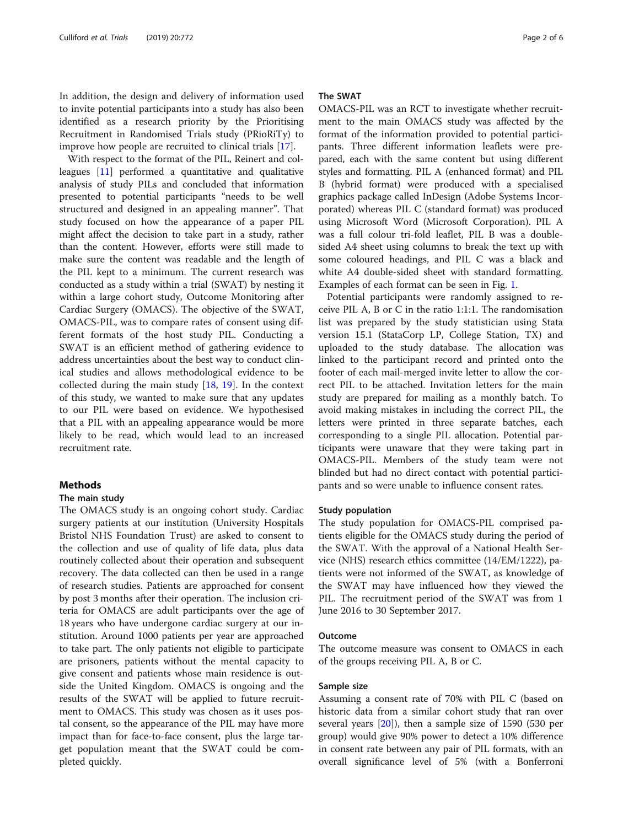In addition, the design and delivery of information used to invite potential participants into a study has also been identified as a research priority by the Prioritising Recruitment in Randomised Trials study (PRioRiTy) to improve how people are recruited to clinical trials [[17\]](#page-5-0).

With respect to the format of the PIL, Reinert and colleagues [\[11](#page-5-0)] performed a quantitative and qualitative analysis of study PILs and concluded that information presented to potential participants "needs to be well structured and designed in an appealing manner". That study focused on how the appearance of a paper PIL might affect the decision to take part in a study, rather than the content. However, efforts were still made to make sure the content was readable and the length of the PIL kept to a minimum. The current research was conducted as a study within a trial (SWAT) by nesting it within a large cohort study, Outcome Monitoring after Cardiac Surgery (OMACS). The objective of the SWAT, OMACS-PIL, was to compare rates of consent using different formats of the host study PIL. Conducting a SWAT is an efficient method of gathering evidence to address uncertainties about the best way to conduct clinical studies and allows methodological evidence to be collected during the main study [[18](#page-5-0), [19](#page-5-0)]. In the context of this study, we wanted to make sure that any updates to our PIL were based on evidence. We hypothesised that a PIL with an appealing appearance would be more likely to be read, which would lead to an increased recruitment rate.

# Methods

# The main study

The OMACS study is an ongoing cohort study. Cardiac surgery patients at our institution (University Hospitals Bristol NHS Foundation Trust) are asked to consent to the collection and use of quality of life data, plus data routinely collected about their operation and subsequent recovery. The data collected can then be used in a range of research studies. Patients are approached for consent by post 3 months after their operation. The inclusion criteria for OMACS are adult participants over the age of 18 years who have undergone cardiac surgery at our institution. Around 1000 patients per year are approached to take part. The only patients not eligible to participate are prisoners, patients without the mental capacity to give consent and patients whose main residence is outside the United Kingdom. OMACS is ongoing and the results of the SWAT will be applied to future recruitment to OMACS. This study was chosen as it uses postal consent, so the appearance of the PIL may have more impact than for face-to-face consent, plus the large target population meant that the SWAT could be completed quickly.

# The SWAT

OMACS-PIL was an RCT to investigate whether recruitment to the main OMACS study was affected by the format of the information provided to potential participants. Three different information leaflets were prepared, each with the same content but using different styles and formatting. PIL A (enhanced format) and PIL B (hybrid format) were produced with a specialised graphics package called InDesign (Adobe Systems Incorporated) whereas PIL C (standard format) was produced using Microsoft Word (Microsoft Corporation). PIL A was a full colour tri-fold leaflet, PIL B was a doublesided A4 sheet using columns to break the text up with some coloured headings, and PIL C was a black and white A4 double-sided sheet with standard formatting. Examples of each format can be seen in Fig. [1](#page-2-0).

Potential participants were randomly assigned to receive PIL A, B or C in the ratio 1:1:1. The randomisation list was prepared by the study statistician using Stata version 15.1 (StataCorp LP, College Station, TX) and uploaded to the study database. The allocation was linked to the participant record and printed onto the footer of each mail-merged invite letter to allow the correct PIL to be attached. Invitation letters for the main study are prepared for mailing as a monthly batch. To avoid making mistakes in including the correct PIL, the letters were printed in three separate batches, each corresponding to a single PIL allocation. Potential participants were unaware that they were taking part in OMACS-PIL. Members of the study team were not blinded but had no direct contact with potential participants and so were unable to influence consent rates.

# Study population

The study population for OMACS-PIL comprised patients eligible for the OMACS study during the period of the SWAT. With the approval of a National Health Service (NHS) research ethics committee (14/EM/1222), patients were not informed of the SWAT, as knowledge of the SWAT may have influenced how they viewed the PIL. The recruitment period of the SWAT was from 1 June 2016 to 30 September 2017.

#### **Outcome**

The outcome measure was consent to OMACS in each of the groups receiving PIL A, B or C.

# Sample size

Assuming a consent rate of 70% with PIL C (based on historic data from a similar cohort study that ran over several years [\[20\]](#page-5-0)), then a sample size of 1590 (530 per group) would give 90% power to detect a 10% difference in consent rate between any pair of PIL formats, with an overall significance level of 5% (with a Bonferroni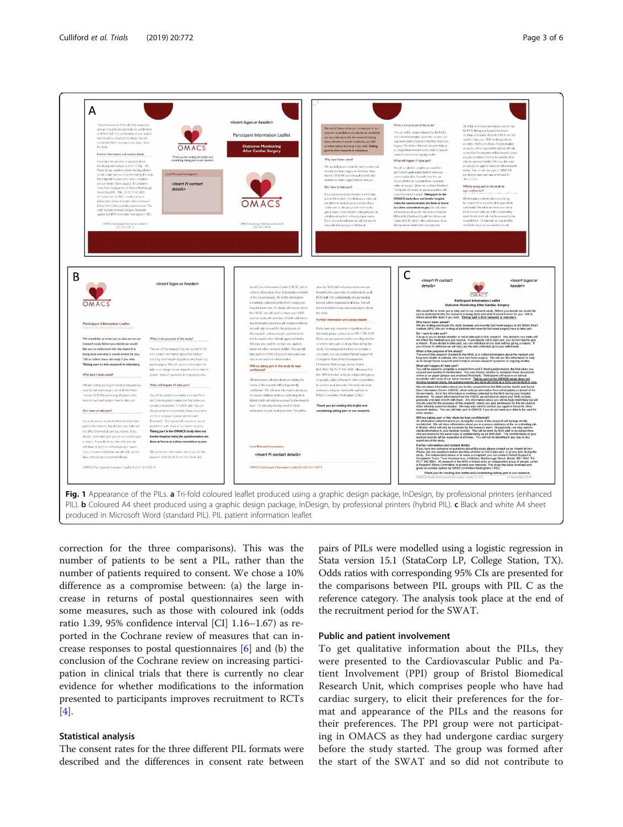<span id="page-2-0"></span>

correction for the three comparisons). This was the number of patients to be sent a PIL, rather than the number of patients required to consent. We chose a 10% difference as a compromise between: (a) the large increase in returns of postal questionnaires seen with some measures, such as those with coloured ink (odds ratio 1.39, 95% confidence interval [CI] 1.16–1.67) as reported in the Cochrane review of measures that can increase responses to postal questionnaires [[6\]](#page-5-0) and (b) the conclusion of the Cochrane review on increasing participation in clinical trials that there is currently no clear evidence for whether modifications to the information presented to participants improves recruitment to RCTs [[4\]](#page-5-0).

# Statistical analysis

The consent rates for the three different PIL formats were described and the differences in consent rate between pairs of PILs were modelled using a logistic regression in Stata version 15.1 (StataCorp LP, College Station, TX). Odds ratios with corresponding 95% CIs are presented for the comparisons between PIL groups with PIL C as the reference category. The analysis took place at the end of the recruitment period for the SWAT.

# Public and patient involvement

To get qualitative information about the PILs, they were presented to the Cardiovascular Public and Patient Involvement (PPI) group of Bristol Biomedical Research Unit, which comprises people who have had cardiac surgery, to elicit their preferences for the format and appearance of the PILs and the reasons for their preferences. The PPI group were not participating in OMACS as they had undergone cardiac surgery before the study started. The group was formed after the start of the SWAT and so did not contribute to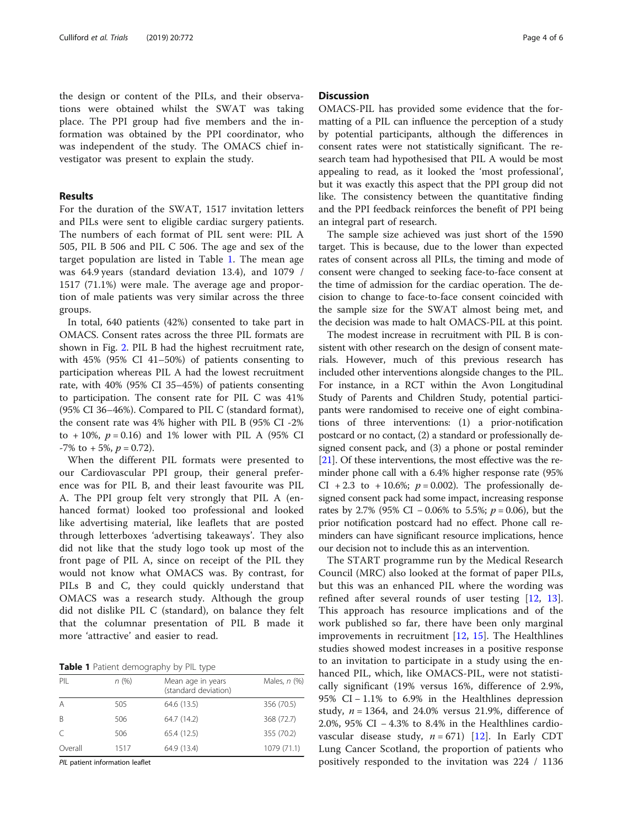the design or content of the PILs, and their observations were obtained whilst the SWAT was taking place. The PPI group had five members and the information was obtained by the PPI coordinator, who was independent of the study. The OMACS chief investigator was present to explain the study.

# Results

For the duration of the SWAT, 1517 invitation letters and PILs were sent to eligible cardiac surgery patients. The numbers of each format of PIL sent were: PIL A 505, PIL B 506 and PIL C 506. The age and sex of the target population are listed in Table 1. The mean age was 64.9 years (standard deviation 13.4), and 1079 / 1517 (71.1%) were male. The average age and proportion of male patients was very similar across the three groups.

In total, 640 patients (42%) consented to take part in OMACS. Consent rates across the three PIL formats are shown in Fig. [2.](#page-4-0) PIL B had the highest recruitment rate, with 45% (95% CI 41–50%) of patients consenting to participation whereas PIL A had the lowest recruitment rate, with 40% (95% CI 35–45%) of patients consenting to participation. The consent rate for PIL C was 41% (95% CI 36–46%). Compared to PIL C (standard format), the consent rate was 4% higher with PIL B (95% CI -2% to  $+10\%$ ,  $p = 0.16$ ) and 1% lower with PIL A (95% CI  $-7\%$  to  $+5\%, p = 0.72$ ).

When the different PIL formats were presented to our Cardiovascular PPI group, their general preference was for PIL B, and their least favourite was PIL A. The PPI group felt very strongly that PIL A (enhanced format) looked too professional and looked like advertising material, like leaflets that are posted through letterboxes 'advertising takeaways'. They also did not like that the study logo took up most of the front page of PIL A, since on receipt of the PIL they would not know what OMACS was. By contrast, for PILs B and C, they could quickly understand that OMACS was a research study. Although the group did not dislike PIL C (standard), on balance they felt that the columnar presentation of PIL B made it more 'attractive' and easier to read.

Table 1 Patient demography by PIL type

| PII          | n(%) | Mean age in years<br>(standard deviation) | Males, $n$ (%) |
|--------------|------|-------------------------------------------|----------------|
| A            | 505  | 64.6 (13.5)                               | 356 (70.5)     |
| <sup>B</sup> | 506  | 64.7 (14.2)                               | 368 (72.7)     |
| $\subset$    | 506  | 65.4 (12.5)                               | 355 (70.2)     |
| Overall      | 1517 | 64.9 (13.4)                               | 1079 (71.1)    |
|              | .    |                                           |                |

PIL patient information leaflet

# **Discussion**

OMACS-PIL has provided some evidence that the formatting of a PIL can influence the perception of a study by potential participants, although the differences in consent rates were not statistically significant. The research team had hypothesised that PIL A would be most appealing to read, as it looked the 'most professional', but it was exactly this aspect that the PPI group did not like. The consistency between the quantitative finding and the PPI feedback reinforces the benefit of PPI being an integral part of research.

The sample size achieved was just short of the 1590 target. This is because, due to the lower than expected rates of consent across all PILs, the timing and mode of consent were changed to seeking face-to-face consent at the time of admission for the cardiac operation. The decision to change to face-to-face consent coincided with the sample size for the SWAT almost being met, and the decision was made to halt OMACS-PIL at this point.

The modest increase in recruitment with PIL B is consistent with other research on the design of consent materials. However, much of this previous research has included other interventions alongside changes to the PIL. For instance, in a RCT within the Avon Longitudinal Study of Parents and Children Study, potential participants were randomised to receive one of eight combinations of three interventions: (1) a prior-notification postcard or no contact, (2) a standard or professionally designed consent pack, and (3) a phone or postal reminder [[21](#page-5-0)]. Of these interventions, the most effective was the reminder phone call with a 6.4% higher response rate (95% CI + 2.3 to + 10.6%;  $p = 0.002$ ). The professionally designed consent pack had some impact, increasing response rates by 2.7% (95% CI − 0.06% to 5.5%;  $p = 0.06$ ), but the prior notification postcard had no effect. Phone call reminders can have significant resource implications, hence our decision not to include this as an intervention.

The START programme run by the Medical Research Council (MRC) also looked at the format of paper PILs, but this was an enhanced PIL where the wording was refined after several rounds of user testing [\[12](#page-5-0), [13](#page-5-0)]. This approach has resource implications and of the work published so far, there have been only marginal improvements in recruitment  $[12, 15]$  $[12, 15]$  $[12, 15]$  $[12, 15]$ . The Healthlines studies showed modest increases in a positive response to an invitation to participate in a study using the enhanced PIL, which, like OMACS-PIL, were not statistically significant (19% versus 16%, difference of 2.9%, 95% CI − 1.1% to 6.9% in the Healthlines depression study,  $n = 1364$ , and 24.0% versus 21.9%, difference of 2.0%, 95% CI − 4.3% to 8.4% in the Healthlines cardiovascular disease study,  $n = 671$ ) [[12\]](#page-5-0). In Early CDT Lung Cancer Scotland, the proportion of patients who positively responded to the invitation was 224 / 1136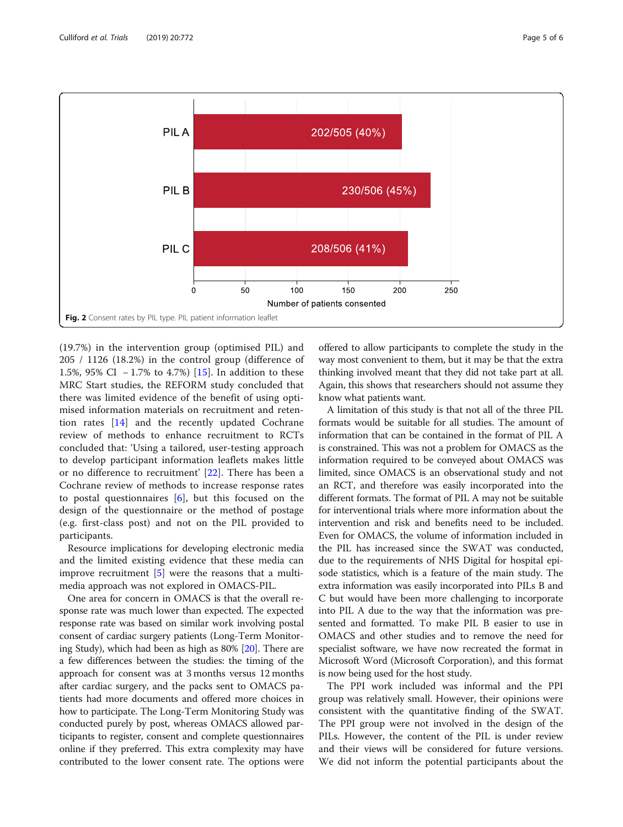<span id="page-4-0"></span>

(19.7%) in the intervention group (optimised PIL) and 205 / 1126 (18.2%) in the control group (difference of 1.5%, 95% CI − 1.7% to 4.7%) [\[15](#page-5-0)]. In addition to these MRC Start studies, the REFORM study concluded that there was limited evidence of the benefit of using optimised information materials on recruitment and retention rates [[14\]](#page-5-0) and the recently updated Cochrane review of methods to enhance recruitment to RCTs concluded that: 'Using a tailored, user-testing approach to develop participant information leaflets makes little or no difference to recruitment' [\[22](#page-5-0)]. There has been a Cochrane review of methods to increase response rates to postal questionnaires  $[6]$  $[6]$ , but this focused on the design of the questionnaire or the method of postage (e.g. first-class post) and not on the PIL provided to participants.

Resource implications for developing electronic media and the limited existing evidence that these media can improve recruitment  $[5]$  $[5]$  were the reasons that a multimedia approach was not explored in OMACS-PIL.

One area for concern in OMACS is that the overall response rate was much lower than expected. The expected response rate was based on similar work involving postal consent of cardiac surgery patients (Long-Term Monitoring Study), which had been as high as 80% [[20](#page-5-0)]. There are a few differences between the studies: the timing of the approach for consent was at 3 months versus 12 months after cardiac surgery, and the packs sent to OMACS patients had more documents and offered more choices in how to participate. The Long-Term Monitoring Study was conducted purely by post, whereas OMACS allowed participants to register, consent and complete questionnaires online if they preferred. This extra complexity may have contributed to the lower consent rate. The options were

offered to allow participants to complete the study in the way most convenient to them, but it may be that the extra thinking involved meant that they did not take part at all. Again, this shows that researchers should not assume they know what patients want.

A limitation of this study is that not all of the three PIL formats would be suitable for all studies. The amount of information that can be contained in the format of PIL A is constrained. This was not a problem for OMACS as the information required to be conveyed about OMACS was limited, since OMACS is an observational study and not an RCT, and therefore was easily incorporated into the different formats. The format of PIL A may not be suitable for interventional trials where more information about the intervention and risk and benefits need to be included. Even for OMACS, the volume of information included in the PIL has increased since the SWAT was conducted, due to the requirements of NHS Digital for hospital episode statistics, which is a feature of the main study. The extra information was easily incorporated into PILs B and C but would have been more challenging to incorporate into PIL A due to the way that the information was presented and formatted. To make PIL B easier to use in OMACS and other studies and to remove the need for specialist software, we have now recreated the format in Microsoft Word (Microsoft Corporation), and this format is now being used for the host study.

The PPI work included was informal and the PPI group was relatively small. However, their opinions were consistent with the quantitative finding of the SWAT. The PPI group were not involved in the design of the PILs. However, the content of the PIL is under review and their views will be considered for future versions. We did not inform the potential participants about the